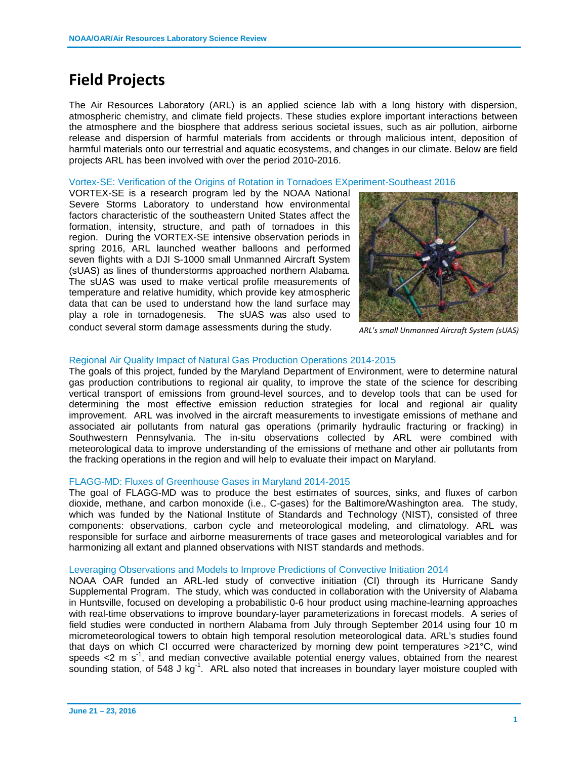# **Field Projects**

The Air Resources Laboratory (ARL) is an applied science lab with a long history with dispersion, atmospheric chemistry, and climate field projects. These studies explore important interactions between the atmosphere and the biosphere that address serious societal issues, such as air pollution, airborne release and dispersion of harmful materials from accidents or through malicious intent, deposition of harmful materials onto our terrestrial and aquatic ecosystems, and changes in our climate. Below are field projects ARL has been involved with over the period 2010-2016.

### Vortex-SE: Verification of the Origins of Rotation in Tornadoes EXperiment-Southeast 2016

VORTEX-SE is a research program led by the NOAA National Severe Storms Laboratory to understand how environmental factors characteristic of the southeastern United States affect the formation, intensity, structure, and path of tornadoes in this region. During the VORTEX-SE intensive observation periods in spring 2016, ARL launched weather balloons and performed seven flights with a DJI S-1000 small Unmanned Aircraft System (sUAS) as lines of thunderstorms approached northern Alabama. The sUAS was used to make vertical profile measurements of temperature and relative humidity, which provide key atmospheric data that can be used to understand how the land surface may play a role in tornadogenesis. The sUAS was also used to conduct several storm damage assessments during the study.



*ARL's small Unmanned Aircraft System (sUAS)*

## Regional Air Quality Impact of Natural Gas Production Operations 2014-2015

The goals of this project, funded by the Maryland Department of Environment, were to determine natural gas production contributions to regional air quality, to improve the state of the science for describing vertical transport of emissions from ground-level sources, and to develop tools that can be used for determining the most effective emission reduction strategies for local and regional air quality improvement. ARL was involved in the aircraft measurements to investigate emissions of methane and associated air pollutants from natural gas operations (primarily hydraulic fracturing or fracking) in Southwestern Pennsylvania. The in-situ observations collected by ARL were combined with meteorological data to improve understanding of the emissions of methane and other air pollutants from the fracking operations in the region and will help to evaluate their impact on Maryland.

#### FLAGG-MD: Fluxes of Greenhouse Gases in Maryland 2014-2015

The goal of FLAGG-MD was to produce the best estimates of sources, sinks, and fluxes of carbon dioxide, methane, and carbon monoxide (i.e., C-gases) for the Baltimore/Washington area. The study, which was funded by the National Institute of Standards and Technology (NIST), consisted of three components: observations, carbon cycle and meteorological modeling, and climatology. ARL was responsible for surface and airborne measurements of trace gases and meteorological variables and for harmonizing all extant and planned observations with NIST standards and methods.

## Leveraging Observations and Models to Improve Predictions of Convective Initiation 2014

NOAA OAR funded an ARL-led study of convective initiation (CI) through its Hurricane Sandy Supplemental Program. The study, which was conducted in collaboration with the University of Alabama in Huntsville, focused on developing a probabilistic 0-6 hour product using machine-learning approaches with real-time observations to improve boundary-layer parameterizations in forecast models. A series of field studies were conducted in northern Alabama from July through September 2014 using four 10 m micrometeorological towers to obtain high temporal resolution meteorological data. ARL's studies found that days on which CI occurred were characterized by morning dew point temperatures >21°C, wind speeds <2 m  $s^{-1}$ , and median convective available potential energy values, obtained from the nearest sounding station, of 548 J kg<sup>-1</sup>. ARL also noted that increases in boundary layer moisture coupled with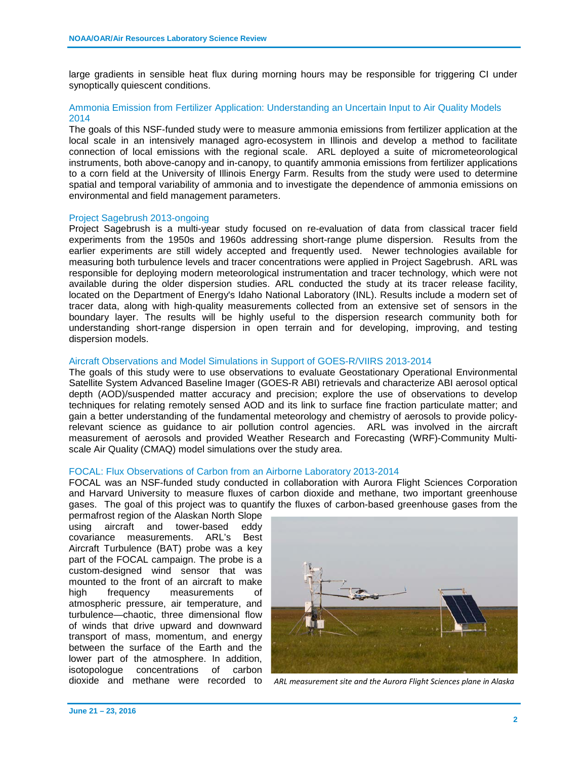large gradients in sensible heat flux during morning hours may be responsible for triggering CI under synoptically quiescent conditions.

# Ammonia Emission from Fertilizer Application: Understanding an Uncertain Input to Air Quality Models 2014

The goals of this NSF-funded study were to measure ammonia emissions from fertilizer application at the local scale in an intensively managed agro-ecosystem in Illinois and develop a method to facilitate connection of local emissions with the regional scale. ARL deployed a suite of micrometeorological instruments, both above-canopy and in-canopy, to quantify ammonia emissions from fertilizer applications to a corn field at the University of Illinois Energy Farm. Results from the study were used to determine spatial and temporal variability of ammonia and to investigate the dependence of ammonia emissions on environmental and field management parameters.

#### Project Sagebrush 2013-ongoing

Project Sagebrush is a multi-year study focused on re-evaluation of data from classical tracer field experiments from the 1950s and 1960s addressing short-range plume dispersion. Results from the earlier experiments are still widely accepted and frequently used. Newer technologies available for measuring both turbulence levels and tracer concentrations were applied in Project Sagebrush. ARL was responsible for deploying modern meteorological instrumentation and tracer technology, which were not available during the older dispersion studies. ARL conducted the study at its tracer release facility, located on the Department of Energy's Idaho National Laboratory (INL). Results include a modern set of tracer data, along with high-quality measurements collected from an extensive set of sensors in the boundary layer. The results will be highly useful to the dispersion research community both for understanding short-range dispersion in open terrain and for developing, improving, and testing dispersion models.

#### Aircraft Observations and Model Simulations in Support of GOES-R/VIIRS 2013-2014

The goals of this study were to use observations to evaluate Geostationary Operational Environmental Satellite System Advanced Baseline Imager (GOES-R ABI) retrievals and characterize ABI aerosol optical depth (AOD)/suspended matter accuracy and precision; explore the use of observations to develop techniques for relating remotely sensed AOD and its link to surface fine fraction particulate matter; and gain a better understanding of the fundamental meteorology and chemistry of aerosols to provide policyrelevant science as guidance to air pollution control agencies. ARL was involved in the aircraft measurement of aerosols and provided Weather Research and Forecasting (WRF)-Community Multiscale Air Quality (CMAQ) model simulations over the study area.

## FOCAL: Flux Observations of Carbon from an Airborne Laboratory 2013-2014

FOCAL was an NSF-funded study conducted in collaboration with Aurora Flight Sciences Corporation and Harvard University to measure fluxes of carbon dioxide and methane, two important greenhouse gases. The goal of this project was to quantify the fluxes of carbon-based greenhouse gases from the

permafrost region of the Alaskan North Slope<br>using aircraft and tower-based eddy using aircraft and tower-based covariance measurements. ARL's Best Aircraft Turbulence (BAT) probe was a key part of the FOCAL campaign. The probe is a custom-designed wind sensor that was mounted to the front of an aircraft to make high frequency measurements of atmospheric pressure, air temperature, and turbulence—chaotic, three dimensional flow of winds that drive upward and downward transport of mass, momentum, and energy between the surface of the Earth and the lower part of the atmosphere. In addition, isotopologue concentrations of carbon



dioxide and methane were recorded to *ARL measurement site and the Aurora Flight Sciences plane in Alaska*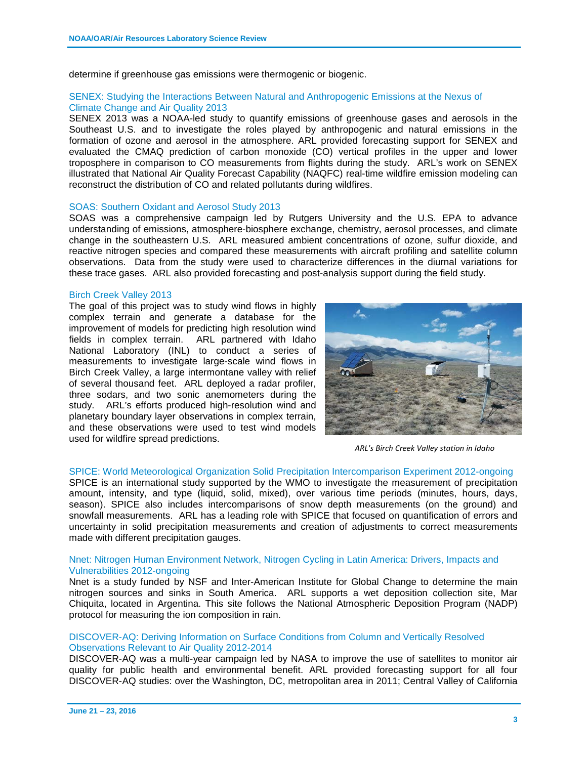determine if greenhouse gas emissions were thermogenic or biogenic.

## SENEX: Studying the Interactions Between Natural and Anthropogenic Emissions at the Nexus of Climate Change and Air Quality 2013

SENEX 2013 was a NOAA-led study to quantify emissions of greenhouse gases and aerosols in the Southeast U.S. and to investigate the roles played by anthropogenic and natural emissions in the formation of ozone and aerosol in the atmosphere. ARL provided forecasting support for SENEX and evaluated the CMAQ prediction of carbon monoxide (CO) vertical profiles in the upper and lower troposphere in comparison to CO measurements from flights during the study. ARL's work on SENEX illustrated that National Air Quality Forecast Capability (NAQFC) real-time wildfire emission modeling can reconstruct the distribution of CO and related pollutants during wildfires.

#### SOAS: Southern Oxidant and Aerosol Study 2013

SOAS was a comprehensive campaign led by Rutgers University and the U.S. EPA to advance understanding of emissions, atmosphere‐biosphere exchange, chemistry, aerosol processes, and climate change in the southeastern U.S. ARL measured ambient concentrations of ozone, sulfur dioxide, and reactive nitrogen species and compared these measurements with aircraft profiling and satellite column observations. Data from the study were used to characterize differences in the diurnal variations for these trace gases. ARL also provided forecasting and post-analysis support during the field study.

#### Birch Creek Valley 2013

The goal of this project was to study wind flows in highly complex terrain and generate a database for the improvement of models for predicting high resolution wind fields in complex terrain. ARL partnered with Idaho National Laboratory (INL) to conduct a series of measurements to investigate large-scale wind flows in Birch Creek Valley, a large intermontane valley with relief of several thousand feet. ARL deployed a radar profiler, three sodars, and two sonic anemometers during the study. ARL's efforts produced high-resolution wind and planetary boundary layer observations in complex terrain, and these observations were used to test wind models used for wildfire spread predictions.



*ARL's Birch Creek Valley station in Idaho*

#### SPICE: World Meteorological Organization Solid Precipitation Intercomparison Experiment 2012-ongoing

SPICE is an international study supported by the WMO to investigate the measurement of precipitation amount, intensity, and type (liquid, solid, mixed), over various time periods (minutes, hours, days, season). SPICE also includes intercomparisons of snow depth measurements (on the ground) and snowfall measurements. ARL has a leading role with SPICE that focused on quantification of errors and uncertainty in solid precipitation measurements and creation of adjustments to correct measurements made with different precipitation gauges.

#### Nnet: Nitrogen Human Environment Network, Nitrogen Cycling in Latin America: Drivers, Impacts and Vulnerabilities 2012-ongoing

Nnet is a study funded by NSF and Inter-American Institute for Global Change to determine the main nitrogen sources and sinks in South America. ARL supports a wet deposition collection site, Mar Chiquita, located in Argentina. This site follows the National Atmospheric Deposition Program (NADP) protocol for measuring the ion composition in rain.

## DISCOVER-AQ: Deriving Information on Surface Conditions from Column and Vertically Resolved Observations Relevant to Air Quality 2012-2014

DISCOVER-AQ was a multi-year campaign led by NASA to improve the use of satellites to monitor air quality for public health and environmental benefit. ARL provided forecasting support for all four DISCOVER-AQ studies: over the Washington, DC, metropolitan area in 2011; Central Valley of California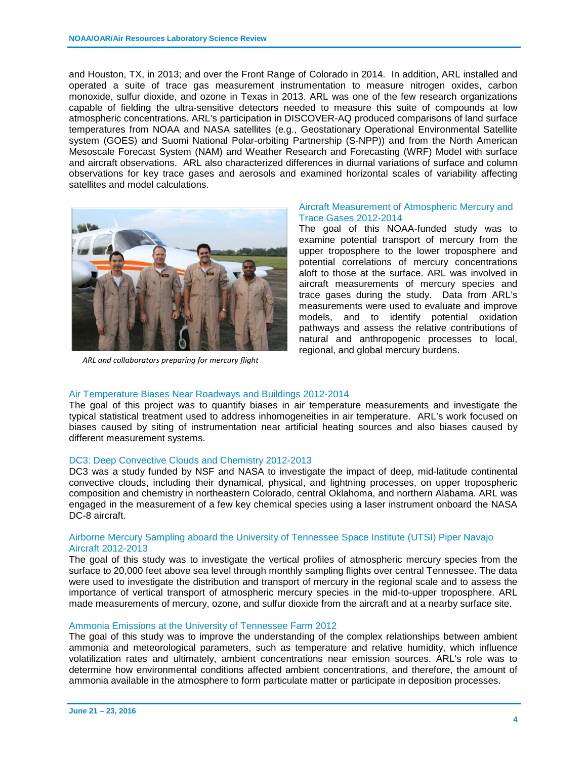and Houston, TX, in 2013; and over the Front Range of Colorado in 2014. In addition, ARL installed and operated a suite of trace gas measurement instrumentation to measure nitrogen oxides, carbon monoxide, sulfur dioxide, and ozone in Texas in 2013. ARL was one of the few research organizations capable of fielding the ultra-sensitive detectors needed to measure this suite of compounds at low atmospheric concentrations. ARL's participation in DISCOVER-AQ produced comparisons of land surface temperatures from NOAA and NASA satellites (e.g., Geostationary Operational Environmental Satellite system (GOES) and Suomi National Polar-orbiting Partnership (S-NPP)) and from the North American Mesoscale Forecast System (NAM) and Weather Research and Forecasting (WRF) Model with surface and aircraft observations. ARL also characterized differences in diurnal variations of surface and column observations for key trace gases and aerosols and examined horizontal scales of variability affecting satellites and model calculations.



*ARL and collaborators preparing for mercury flight*

## Aircraft Measurement of Atmospheric Mercury and Trace Gases 2012-2014

The goal of this NOAA-funded study was to examine potential transport of mercury from the upper troposphere to the lower troposphere and potential correlations of mercury concentrations aloft to those at the surface. ARL was involved in aircraft measurements of mercury species and trace gases during the study. Data from ARL's measurements were used to evaluate and improve models, and to identify potential oxidation pathways and assess the relative contributions of natural and anthropogenic processes to local, regional, and global mercury burdens.

## Air Temperature Biases Near Roadways and Buildings 2012-2014

The goal of this project was to quantify biases in air temperature measurements and investigate the typical statistical treatment used to address inhomogeneities in air temperature. ARL's work focused on biases caused by siting of instrumentation near artificial heating sources and also biases caused by different measurement systems.

## DC3: Deep Convective Clouds and Chemistry 2012-2013

DC3 was a study funded by NSF and NASA to investigate the impact of deep, mid-latitude continental convective clouds, including their dynamical, physical, and lightning processes, on upper tropospheric composition and chemistry in northeastern Colorado, central Oklahoma, and northern Alabama. ARL was engaged in the measurement of a few key chemical species using a laser instrument onboard the NASA DC-8 aircraft.

## Airborne Mercury Sampling aboard the University of Tennessee Space Institute (UTSI) Piper Navajo Aircraft 2012-2013

The goal of this study was to investigate the vertical profiles of atmospheric mercury species from the surface to 20,000 feet above sea level through monthly sampling flights over central Tennessee. The data were used to investigate the distribution and transport of mercury in the regional scale and to assess the importance of vertical transport of atmospheric mercury species in the mid-to-upper troposphere. ARL made measurements of mercury, ozone, and sulfur dioxide from the aircraft and at a nearby surface site.

# Ammonia Emissions at the University of Tennessee Farm 2012

The goal of this study was to improve the understanding of the complex relationships between ambient ammonia and meteorological parameters, such as temperature and relative humidity, which influence volatilization rates and ultimately, ambient concentrations near emission sources. ARL's role was to determine how environmental conditions affected ambient concentrations, and therefore, the amount of ammonia available in the atmosphere to form particulate matter or participate in deposition processes.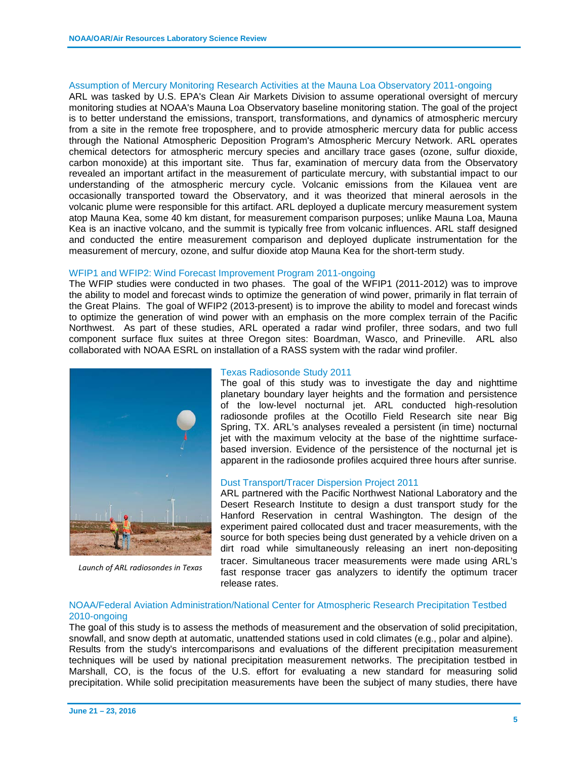#### Assumption of Mercury Monitoring Research Activities at the Mauna Loa Observatory 2011-ongoing

ARL was tasked by U.S. EPA's Clean Air Markets Division to assume operational oversight of mercury monitoring studies at NOAA's Mauna Loa Observatory baseline monitoring station. The goal of the project is to better understand the emissions, transport, transformations, and dynamics of atmospheric mercury from a site in the remote free troposphere, and to provide atmospheric mercury data for public access through the National Atmospheric Deposition Program's Atmospheric Mercury Network. ARL operates chemical detectors for atmospheric mercury species and ancillary trace gases (ozone, sulfur dioxide, carbon monoxide) at this important site. Thus far, examination of mercury data from the Observatory revealed an important artifact in the measurement of particulate mercury, with substantial impact to our understanding of the atmospheric mercury cycle. Volcanic emissions from the Kilauea vent are occasionally transported toward the Observatory, and it was theorized that mineral aerosols in the volcanic plume were responsible for this artifact. ARL deployed a duplicate mercury measurement system atop Mauna Kea, some 40 km distant, for measurement comparison purposes; unlike Mauna Loa, Mauna Kea is an inactive volcano, and the summit is typically free from volcanic influences. ARL staff designed and conducted the entire measurement comparison and deployed duplicate instrumentation for the measurement of mercury, ozone, and sulfur dioxide atop Mauna Kea for the short-term study.

#### WFIP1 and WFIP2: Wind Forecast Improvement Program 2011-ongoing

The WFIP studies were conducted in two phases. The goal of the WFIP1 (2011-2012) was to improve the ability to model and forecast winds to optimize the generation of wind power, primarily in flat terrain of the Great Plains. The goal of WFIP2 (2013-present) is to improve the ability to model and forecast winds to optimize the generation of wind power with an emphasis on the more complex terrain of the Pacific Northwest. As part of these studies, ARL operated a radar wind profiler, three sodars, and two full component surface flux suites at three Oregon sites: Boardman, Wasco, and Prineville. ARL also collaborated with NOAA ESRL on installation of a RASS system with the radar wind profiler.



*Launch of ARL radiosondes in Texas*

#### Texas Radiosonde Study 2011

The goal of this study was to investigate the day and nighttime planetary boundary layer heights and the formation and persistence of the low-level nocturnal jet. ARL conducted high-resolution radiosonde profiles at the Ocotillo Field Research site near Big Spring, TX. ARL's analyses revealed a persistent (in time) nocturnal jet with the maximum velocity at the base of the nighttime surfacebased inversion. Evidence of the persistence of the nocturnal jet is apparent in the radiosonde profiles acquired three hours after sunrise.

## Dust Transport/Tracer Dispersion Project 2011

ARL partnered with the Pacific Northwest National Laboratory and the Desert Research Institute to design a dust transport study for the Hanford Reservation in central Washington. The design of the experiment paired collocated dust and tracer measurements, with the source for both species being dust generated by a vehicle driven on a dirt road while simultaneously releasing an inert non-depositing tracer. Simultaneous tracer measurements were made using ARL's fast response tracer gas analyzers to identify the optimum tracer release rates.

## NOAA/Federal Aviation Administration/National Center for Atmospheric Research Precipitation Testbed 2010-ongoing

The goal of this study is to assess the methods of measurement and the observation of solid precipitation, snowfall, and snow depth at automatic, unattended stations used in cold climates (e.g., polar and alpine). Results from the study's intercomparisons and evaluations of the different precipitation measurement techniques will be used by national precipitation measurement networks. The precipitation testbed in Marshall, CO, is the focus of the U.S. effort for evaluating a new standard for measuring solid precipitation. While solid precipitation measurements have been the subject of many studies, there have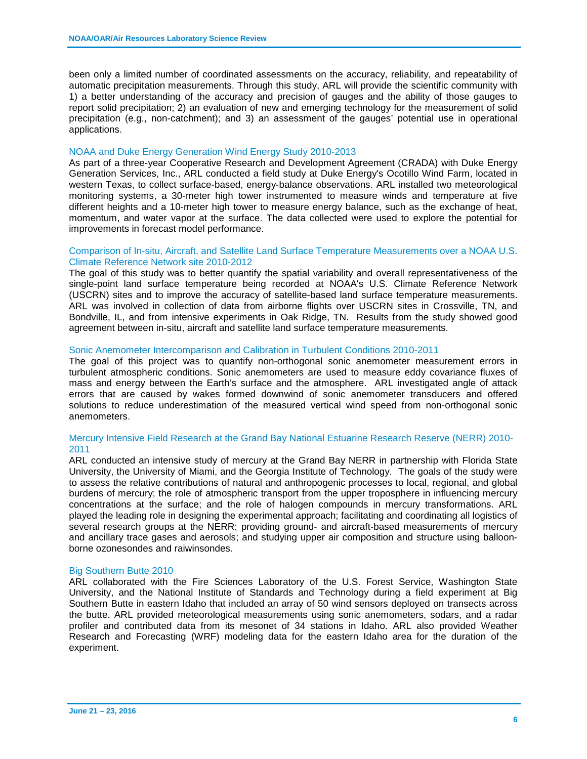been only a limited number of coordinated assessments on the accuracy, reliability, and repeatability of automatic precipitation measurements. Through this study, ARL will provide the scientific community with 1) a better understanding of the accuracy and precision of gauges and the ability of those gauges to report solid precipitation; 2) an evaluation of new and emerging technology for the measurement of solid precipitation (e.g., non-catchment); and 3) an assessment of the gauges' potential use in operational applications.

#### NOAA and Duke Energy Generation Wind Energy Study 2010-2013

As part of a three-year Cooperative Research and Development Agreement (CRADA) with Duke Energy Generation Services, Inc., ARL conducted a field study at Duke Energy's Ocotillo Wind Farm, located in western Texas, to collect surface-based, energy-balance observations. ARL installed two meteorological monitoring systems, a 30-meter high tower instrumented to measure winds and temperature at five different heights and a 10-meter high tower to measure energy balance, such as the exchange of heat, momentum, and water vapor at the surface. The data collected were used to explore the potential for improvements in forecast model performance.

#### Comparison of In-situ, Aircraft, and Satellite Land Surface Temperature Measurements over a NOAA U.S. Climate Reference Network site 2010-2012

The goal of this study was to better quantify the spatial variability and overall representativeness of the single-point land surface temperature being recorded at NOAA's U.S. Climate Reference Network (USCRN) sites and to improve the accuracy of satellite-based land surface temperature measurements. ARL was involved in collection of data from airborne flights over USCRN sites in Crossville, TN, and Bondville, IL, and from intensive experiments in Oak Ridge, TN. Results from the study showed good agreement between in-situ, aircraft and satellite land surface temperature measurements.

#### Sonic Anemometer Intercomparison and Calibration in Turbulent Conditions 2010-2011

The goal of this project was to quantify non-orthogonal sonic anemometer measurement errors in turbulent atmospheric conditions. Sonic anemometers are used to measure eddy covariance fluxes of mass and energy between the Earth's surface and the atmosphere. ARL investigated angle of attack errors that are caused by wakes formed downwind of sonic anemometer transducers and offered solutions to reduce underestimation of the measured vertical wind speed from non-orthogonal sonic anemometers.

## Mercury Intensive Field Research at the Grand Bay National Estuarine Research Reserve (NERR) 2010- 2011

ARL conducted an intensive study of mercury at the Grand Bay NERR in partnership with Florida State University, the University of Miami, and the Georgia Institute of Technology. The goals of the study were to assess the relative contributions of natural and anthropogenic processes to local, regional, and global burdens of mercury; the role of atmospheric transport from the upper troposphere in influencing mercury concentrations at the surface; and the role of halogen compounds in mercury transformations. ARL played the leading role in designing the experimental approach; facilitating and coordinating all logistics of several research groups at the NERR; providing ground- and aircraft-based measurements of mercury and ancillary trace gases and aerosols; and studying upper air composition and structure using balloonborne ozonesondes and raiwinsondes.

## Big Southern Butte 2010

ARL collaborated with the Fire Sciences Laboratory of the U.S. Forest Service, Washington State University, and the National Institute of Standards and Technology during a field experiment at Big Southern Butte in eastern Idaho that included an array of 50 wind sensors deployed on transects across the butte. ARL provided meteorological measurements using sonic anemometers, sodars, and a radar profiler and contributed data from its mesonet of 34 stations in Idaho. ARL also provided Weather Research and Forecasting (WRF) modeling data for the eastern Idaho area for the duration of the experiment.